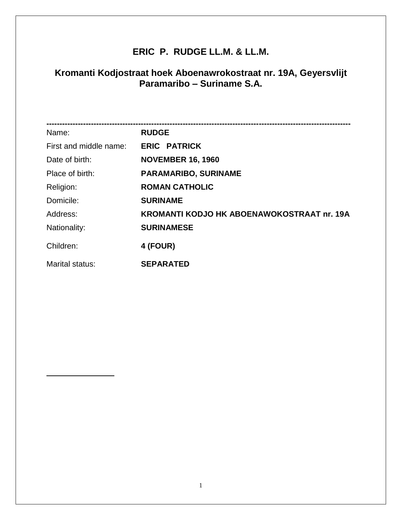## **ERIC P. RUDGE LL.M. & LL.M.**

## **Kromanti Kodjostraat hoek Aboenawrokostraat nr. 19A, Geyersvlijt Paramaribo – Suriname S.A.**

| Name:                  | <b>RUDGE</b>                                      |
|------------------------|---------------------------------------------------|
| First and middle name: | <b>ERIC PATRICK</b>                               |
| Date of birth:         | <b>NOVEMBER 16, 1960</b>                          |
| Place of birth:        | <b>PARAMARIBO, SURINAME</b>                       |
| Religion:              | <b>ROMAN CATHOLIC</b>                             |
| Domicile:              | <b>SURINAME</b>                                   |
| Address:               | <b>KROMANTI KODJO HK ABOENAWOKOSTRAAT nr. 19A</b> |
| Nationality:           | <b>SURINAMESE</b>                                 |
| Children:              | 4 (FOUR)                                          |
| Marital status:        | <b>SEPARATED</b>                                  |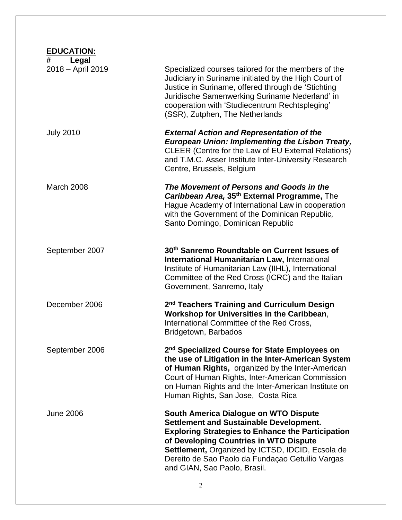| <b>EDUCATION:</b>               |                                                                                                                                                                                                                                                                                                                                       |
|---------------------------------|---------------------------------------------------------------------------------------------------------------------------------------------------------------------------------------------------------------------------------------------------------------------------------------------------------------------------------------|
| #<br>Legal<br>2018 - April 2019 | Specialized courses tailored for the members of the<br>Judiciary in Suriname initiated by the High Court of<br>Justice in Suriname, offered through de 'Stichting<br>Juridische Samenwerking Suriname Nederland' in<br>cooperation with 'Studiecentrum Rechtspleging'<br>(SSR), Zutphen, The Netherlands                              |
| <b>July 2010</b>                | <b>External Action and Representation of the</b><br><b>European Union: Implementing the Lisbon Treaty,</b><br>CLEER (Centre for the Law of EU External Relations)<br>and T.M.C. Asser Institute Inter-University Research<br>Centre, Brussels, Belgium                                                                                |
| <b>March 2008</b>               | The Movement of Persons and Goods in the<br>Caribbean Area, 35th External Programme, The<br>Hague Academy of International Law in cooperation<br>with the Government of the Dominican Republic,<br>Santo Domingo, Dominican Republic                                                                                                  |
| September 2007                  | 30th Sanremo Roundtable on Current Issues of<br><b>International Humanitarian Law, International</b><br>Institute of Humanitarian Law (IIHL), International<br>Committee of the Red Cross (ICRC) and the Italian<br>Government, Sanremo, Italy                                                                                        |
| December 2006                   | 2 <sup>nd</sup> Teachers Training and Curriculum Design<br>Workshop for Universities in the Caribbean,<br>International Committee of the Red Cross,<br>Bridgetown, Barbados                                                                                                                                                           |
| September 2006                  | 2 <sup>nd</sup> Specialized Course for State Employees on<br>the use of Litigation in the Inter-American System<br>of Human Rights, organized by the Inter-American<br>Court of Human Rights, Inter-American Commission<br>on Human Rights and the Inter-American Institute on<br>Human Rights, San Jose, Costa Rica                  |
| <b>June 2006</b>                | South America Dialogue on WTO Dispute<br><b>Settlement and Sustainable Development.</b><br><b>Exploring Strategies to Enhance the Participation</b><br>of Developing Countries in WTO Dispute<br>Settlement, Organized by ICTSD, IDCID, Ecsola de<br>Dereito de Sao Paolo da Fundaçao Getuilio Vargas<br>and GIAN, Sao Paolo, Brasil. |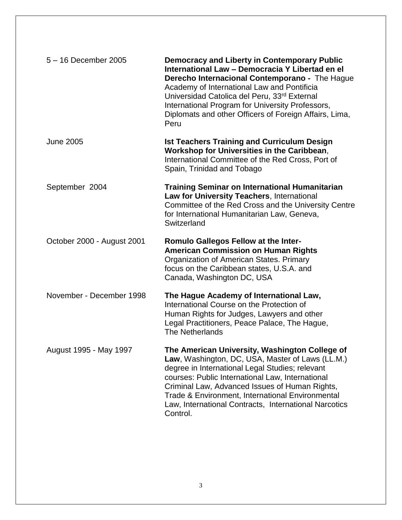| 5 - 16 December 2005       | <b>Democracy and Liberty in Contemporary Public</b><br>International Law - Democracia Y Libertad en el<br>Derecho Internacional Contemporano - The Hague<br>Academy of International Law and Pontificia<br>Universidad Catolica del Peru, 33rd External<br>International Program for University Professors,<br>Diplomats and other Officers of Foreign Affairs, Lima,<br>Peru        |
|----------------------------|--------------------------------------------------------------------------------------------------------------------------------------------------------------------------------------------------------------------------------------------------------------------------------------------------------------------------------------------------------------------------------------|
| <b>June 2005</b>           | <b>Ist Teachers Training and Curriculum Design</b><br>Workshop for Universities in the Caribbean,<br>International Committee of the Red Cross, Port of<br>Spain, Trinidad and Tobago                                                                                                                                                                                                 |
| September 2004             | <b>Training Seminar on International Humanitarian</b><br>Law for University Teachers, International<br>Committee of the Red Cross and the University Centre<br>for International Humanitarian Law, Geneva,<br>Switzerland                                                                                                                                                            |
| October 2000 - August 2001 | <b>Romulo Gallegos Fellow at the Inter-</b><br><b>American Commission on Human Rights</b><br>Organization of American States. Primary<br>focus on the Caribbean states, U.S.A. and<br>Canada, Washington DC, USA                                                                                                                                                                     |
| November - December 1998   | The Hague Academy of International Law,<br>International Course on the Protection of<br>Human Rights for Judges, Lawyers and other<br>Legal Practitioners, Peace Palace, The Hague,<br><b>The Netherlands</b>                                                                                                                                                                        |
| August 1995 - May 1997     | The American University, Washington College of<br>Law, Washington, DC, USA, Master of Laws (LL.M.)<br>degree in International Legal Studies; relevant<br>courses: Public International Law, International<br>Criminal Law, Advanced Issues of Human Rights,<br>Trade & Environment, International Environmental<br>Law, International Contracts, International Narcotics<br>Control. |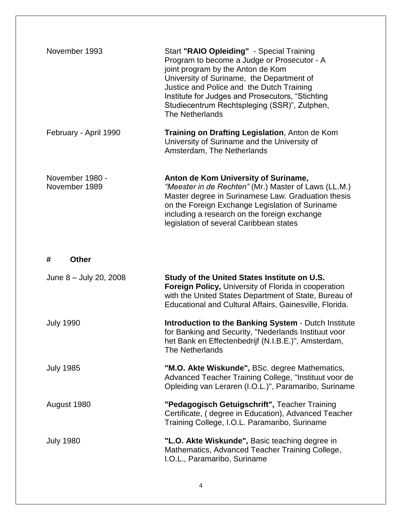| November 1993                    | Start "RAIO Opleiding" - Special Training<br>Program to become a Judge or Prosecutor - A<br>joint program by the Anton de Kom<br>University of Suriname, the Department of<br>Justice and Police and the Dutch Training<br>Institute for Judges and Prosecutors, "Stichting<br>Studiecentrum Rechtspleging (SSR)", Zutphen,<br>The Netherlands |
|----------------------------------|------------------------------------------------------------------------------------------------------------------------------------------------------------------------------------------------------------------------------------------------------------------------------------------------------------------------------------------------|
| February - April 1990            | Training on Drafting Legislation, Anton de Kom<br>University of Suriname and the University of<br>Amsterdam, The Netherlands                                                                                                                                                                                                                   |
| November 1980 -<br>November 1989 | Anton de Kom University of Suriname,<br>"Meester in de Rechten" (Mr.) Master of Laws (LL.M.)<br>Master degree in Surinamese Law. Graduation thesis<br>on the Foreign Exchange Legislation of Suriname<br>including a research on the foreign exchange<br>legislation of several Caribbean states                                               |
| <b>Other</b><br>#                |                                                                                                                                                                                                                                                                                                                                                |
| June 8 - July 20, 2008           | Study of the United States Institute on U.S.<br>Foreign Policy, University of Florida in cooperation<br>with the United States Department of State, Bureau of<br>Educational and Cultural Affairs, Gainesville, Florida.                                                                                                                       |
| <b>July 1990</b>                 | Introduction to the Banking System - Dutch Institute<br>for Banking and Security, "Nederlands Instituut voor<br>het Bank en Effectenbedrijf (N.I.B.E.)", Amsterdam,<br>The Netherlands                                                                                                                                                         |
| <b>July 1985</b>                 | "M.O. Akte Wiskunde", BSc. degree Mathematics,<br>Advanced Teacher Training College, "Instituut voor de<br>Opleiding van Leraren (I.O.L.)", Paramaribo, Suriname                                                                                                                                                                               |
| August 1980                      | "Pedagogisch Getuigschrift", Teacher Training<br>Certificate, (degree in Education), Advanced Teacher<br>Training College, I.O.L. Paramaribo, Suriname                                                                                                                                                                                         |
| <b>July 1980</b>                 | "L.O. Akte Wiskunde", Basic teaching degree in<br>Mathematics, Advanced Teacher Training College,<br>I.O.L., Paramaribo, Suriname                                                                                                                                                                                                              |

4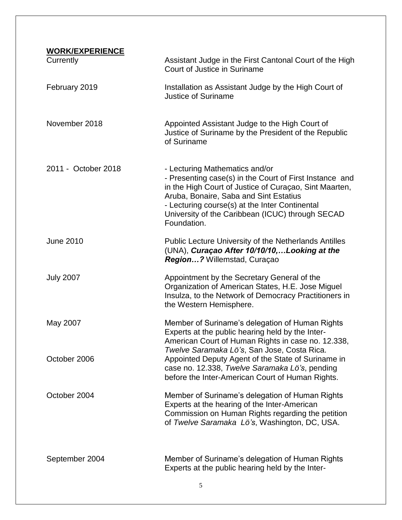| <b>WORK/EXPERIENCE</b> |                                                                                                                                                                                                                                                                                                                    |
|------------------------|--------------------------------------------------------------------------------------------------------------------------------------------------------------------------------------------------------------------------------------------------------------------------------------------------------------------|
| Currently              | Assistant Judge in the First Cantonal Court of the High<br>Court of Justice in Suriname                                                                                                                                                                                                                            |
| February 2019          | Installation as Assistant Judge by the High Court of<br><b>Justice of Suriname</b>                                                                                                                                                                                                                                 |
| November 2018          | Appointed Assistant Judge to the High Court of<br>Justice of Suriname by the President of the Republic<br>of Suriname                                                                                                                                                                                              |
| 2011 - October 2018    | - Lecturing Mathematics and/or<br>- Presenting case(s) in the Court of First Instance and<br>in the High Court of Justice of Curaçao, Sint Maarten,<br>Aruba, Bonaire, Saba and Sint Estatius<br>- Lecturing course(s) at the Inter Continental<br>University of the Caribbean (ICUC) through SECAD<br>Foundation. |
| <b>June 2010</b>       | Public Lecture University of the Netherlands Antilles<br>(UNA), Curaçao After 10/10/10,Looking at the<br>Region? Willemstad, Curaçao                                                                                                                                                                               |
| <b>July 2007</b>       | Appointment by the Secretary General of the<br>Organization of American States, H.E. Jose Miguel<br>Insulza, to the Network of Democracy Practitioners in<br>the Western Hemisphere.                                                                                                                               |
| May 2007               | Member of Suriname's delegation of Human Rights<br>Experts at the public hearing held by the Inter-<br>American Court of Human Rights in case no. 12.338,<br>Twelve Saramaka Lö's, San Jose, Costa Rica.                                                                                                           |
| October 2006           | Appointed Deputy Agent of the State of Suriname in<br>case no. 12.338, Twelve Saramaka Lö's, pending<br>before the Inter-American Court of Human Rights.                                                                                                                                                           |
| October 2004           | Member of Suriname's delegation of Human Rights<br>Experts at the hearing of the Inter-American<br>Commission on Human Rights regarding the petition<br>of Twelve Saramaka Lö's, Washington, DC, USA.                                                                                                              |
| September 2004         | Member of Suriname's delegation of Human Rights<br>Experts at the public hearing held by the Inter-                                                                                                                                                                                                                |
|                        | 5                                                                                                                                                                                                                                                                                                                  |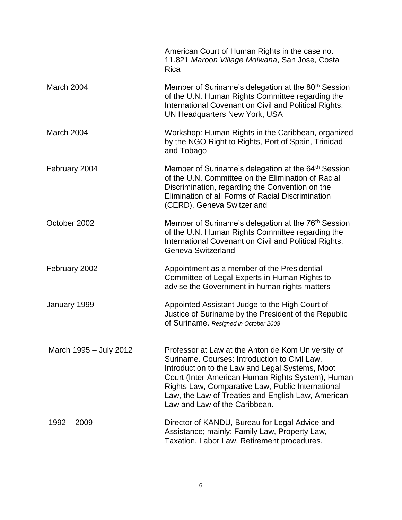|                        | American Court of Human Rights in the case no.<br>11.821 Maroon Village Moiwana, San Jose, Costa<br>Rica                                                                                                                                                                                                                                                |
|------------------------|---------------------------------------------------------------------------------------------------------------------------------------------------------------------------------------------------------------------------------------------------------------------------------------------------------------------------------------------------------|
| March 2004             | Member of Suriname's delegation at the 80 <sup>th</sup> Session<br>of the U.N. Human Rights Committee regarding the<br>International Covenant on Civil and Political Rights,<br>UN Headquarters New York, USA                                                                                                                                           |
| March 2004             | Workshop: Human Rights in the Caribbean, organized<br>by the NGO Right to Rights, Port of Spain, Trinidad<br>and Tobago                                                                                                                                                                                                                                 |
| February 2004          | Member of Suriname's delegation at the 64 <sup>th</sup> Session<br>of the U.N. Committee on the Elimination of Racial<br>Discrimination, regarding the Convention on the<br>Elimination of all Forms of Racial Discrimination<br>(CERD), Geneva Switzerland                                                                                             |
| October 2002           | Member of Suriname's delegation at the 76 <sup>th</sup> Session<br>of the U.N. Human Rights Committee regarding the<br>International Covenant on Civil and Political Rights,<br>Geneva Switzerland                                                                                                                                                      |
| February 2002          | Appointment as a member of the Presidential<br>Committee of Legal Experts in Human Rights to<br>advise the Government in human rights matters                                                                                                                                                                                                           |
| January 1999           | Appointed Assistant Judge to the High Court of<br>Justice of Suriname by the President of the Republic<br>of Suriname. Resigned in October 2009                                                                                                                                                                                                         |
| March 1995 - July 2012 | Professor at Law at the Anton de Kom University of<br>Suriname. Courses: Introduction to Civil Law,<br>Introduction to the Law and Legal Systems, Moot<br>Court (Inter-American Human Rights System), Human<br>Rights Law, Comparative Law, Public International<br>Law, the Law of Treaties and English Law, American<br>Law and Law of the Caribbean. |
| 1992 - 2009            | Director of KANDU, Bureau for Legal Advice and<br>Assistance; mainly: Family Law, Property Law,<br>Taxation, Labor Law, Retirement procedures.                                                                                                                                                                                                          |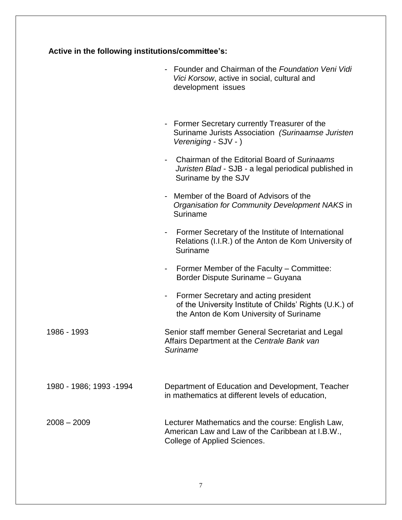|  |  | Active in the following institutions/committee's: |
|--|--|---------------------------------------------------|
|--|--|---------------------------------------------------|

|                         | Founder and Chairman of the Foundation Veni Vidi<br>Vici Korsow, active in social, cultural and<br>development issues                       |
|-------------------------|---------------------------------------------------------------------------------------------------------------------------------------------|
|                         | - Former Secretary currently Treasurer of the<br>Suriname Jurists Association (Surinaamse Juristen<br>Vereniging - SJV - )                  |
|                         | Chairman of the Editorial Board of Surinaams<br>Juristen Blad - SJB - a legal periodical published in<br>Suriname by the SJV                |
|                         | Member of the Board of Advisors of the<br>Organisation for Community Development NAKS in<br>Suriname                                        |
|                         | Former Secretary of the Institute of International<br>Relations (I.I.R.) of the Anton de Kom University of<br>Suriname                      |
|                         | - Former Member of the Faculty – Committee:<br>Border Dispute Suriname - Guyana                                                             |
|                         | Former Secretary and acting president<br>of the University Institute of Childs' Rights (U.K.) of<br>the Anton de Kom University of Suriname |
| 1986 - 1993             | Senior staff member General Secretariat and Legal<br>Affairs Department at the Centrale Bank van<br><b>Suriname</b>                         |
| 1980 - 1986; 1993 -1994 | Department of Education and Development, Teacher<br>in mathematics at different levels of education,                                        |
| $2008 - 2009$           | Lecturer Mathematics and the course: English Law,<br>American Law and Law of the Caribbean at I.B.W.,<br>College of Applied Sciences.       |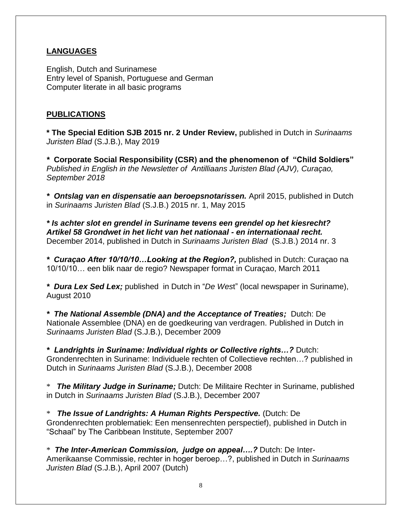## **LANGUAGES**

English, Dutch and Surinamese Entry level of Spanish, Portuguese and German Computer literate in all basic programs

## **PUBLICATIONS**

**\* The Special Edition SJB 2015 nr. 2 Under Review,** published in Dutch in *Surinaams Juristen Blad* (S.J.B.), May 2019

*\** **Corporate Social Responsibility (CSR) and the phenomenon of "Child Soldiers"** *Published in English in the Newsletter of Antilliaans Juristen Blad (AJV), Curaçao, September 2018*

*\* Ontslag van en dispensatie aan beroepsnotarissen.* April 2015, published in Dutch in *Surinaams Juristen Blad* (S.J.B.) 2015 nr. 1, May 2015

*\* Is achter slot en grendel in Suriname tevens een grendel op het kiesrecht? Artikel 58 Grondwet in het licht van het nationaal - en internationaal recht.* December 2014, published in Dutch in *Surinaams Juristen Blad* (S.J.B.) 2014 nr. 3

*\* Curaçao After 10/10/10…Looking at the Region?,* published in Dutch: Curaçao na 10/10/10… een blik naar de regio? Newspaper format in Curaçao, March 2011

*\* Dura Lex Sed Lex;* published in Dutch in "*De Wes*t" (local newspaper in Suriname), August 2010

*\* The National Assemble (DNA) and the Acceptance of Treaties;* Dutch: De Nationale Assemblee (DNA) en de goedkeuring van verdragen. Published in Dutch in *Surinaams Juristen Blad* (S.J.B.), December 2009

*\* Landrights in Suriname: Individual rights or Collective rights…?* Dutch: Grondenrechten in Suriname: Individuele rechten of Collectieve rechten…? published in Dutch in *Surinaams Juristen Blad* (S.J.B.), December 2008

\* *The Military Judge in Suriname;* Dutch: De Militaire Rechter in Suriname, published in Dutch in *Surinaams Juristen Blad* (S.J.B.), December 2007

\* *The Issue of Landrights: A Human Rights Perspective.* (Dutch: De Grondenrechten problematiek: Een mensenrechten perspectief), published in Dutch in "Schaal" by The Caribbean Institute, September 2007

\* *The Inter-American Commission, judge on appeal….?* Dutch: De Inter-Amerikaanse Commissie, rechter in hoger beroep…?, published in Dutch in *Surinaams Juristen Blad* (S.J.B.), April 2007 (Dutch)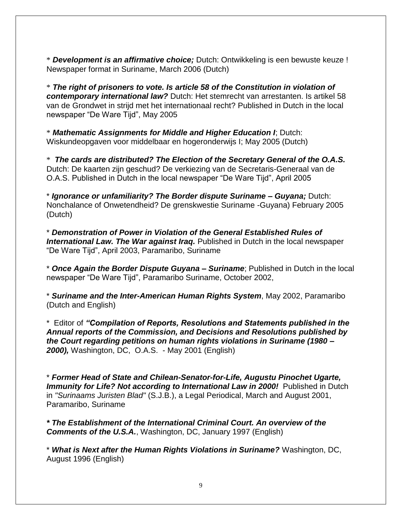\* *Development is an affirmative choice;* Dutch: Ontwikkeling is een bewuste keuze ! Newspaper format in Suriname, March 2006 (Dutch)

\* *The right of prisoners to vote. Is article 58 of the Constitution in violation of contemporary international law?* Dutch: Het stemrecht van arrestanten. Is artikel 58 van de Grondwet in strijd met het internationaal recht? Published in Dutch in the local newspaper "De Ware Tijd", May 2005

\* *Mathematic Assignments for Middle and Higher Education I*; Dutch: Wiskundeopgaven voor middelbaar en hogeronderwijs I; May 2005 (Dutch)

\* *The cards are distributed? The Election of the Secretary General of the O.A.S.* Dutch: De kaarten zijn geschud? De verkiezing van de Secretaris-Generaal van de O.A.S. Published in Dutch in the local newspaper "De Ware Tijd", April 2005

\* *Ignorance or unfamiliarity? The Border dispute Suriname – Guyana;* Dutch: Nonchalance of Onwetendheid? De grenskwestie Suriname -Guyana) February 2005 (Dutch)

\* *Demonstration of Power in Violation of the General Established Rules of* **International Law. The War against Iraq.** Published in Dutch in the local newspaper "De Ware Tijd", April 2003, Paramaribo, Suriname

\* *Once Again the Border Dispute Guyana – Suriname*; Published in Dutch in the local newspaper "De Ware Tijd", Paramaribo Suriname, October 2002,

\* *Suriname and the Inter-American Human Rights System*, May 2002, Paramaribo (Dutch and English)

\* Editor of *"Compilation of Reports, Resolutions and Statements published in the Annual reports of the Commission, and Decisions and Resolutions published by the Court regarding petitions on human rights violations in Suriname (1980 – 2000),* Washington, DC, O.A.S. - May 2001 (English)

\* *Former Head of State and Chilean-Senator-for-Life, Augustu Pinochet Ugarte, Immunity for Life? Not according to International Law in 2000!* Published in Dutch in *"Surinaams Juristen Blad"* (S.J.B.), a Legal Periodical, March and August 2001, Paramaribo, Suriname

*\* The Establishment of the International Criminal Court. An overview of the Comments of the U.S.A.*, Washington, DC, January 1997 (English)

\* *What is Next after the Human Rights Violations in Suriname?* Washington, DC, August 1996 (English)